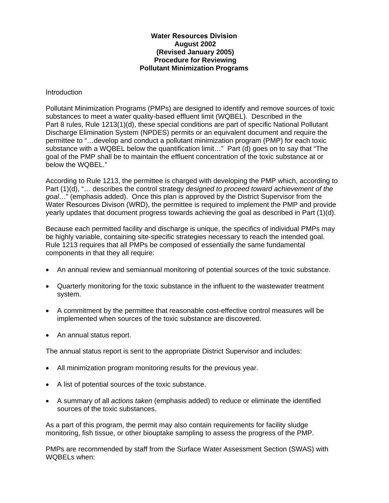#### **Water Resources Division August 2002 (Revised January 2005) Procedure for Reviewing Pollutant Minimization Programs**

#### Introduction

Pollutant Minimization Programs (PMPs) are designed to identify and remove sources of toxic substances to meet a water quality-based effluent limit (WQBEL). Described in the Part 8 rules, Rule 1213(1)(d), these special conditions are part of specific National Pollutant Discharge Elimination System (NPDES) permits or an equivalent document and require the permittee to "…develop and conduct a pollutant minimization program (PMP) for each toxic substance with a WQBEL below the quantification limit..." Part (d) goes on to say that "The goal of the PMP shall be to maintain the effluent concentration of the toxic substance at or below the WQBEL."

According to Rule 1213, the permittee is charged with developing the PMP which, according to Part (1)(d), "… describes the control strategy *designed to proceed toward achievement of the goal*…" (emphasis added). Once this plan is approved by the District Supervisor from the Water Resources Divison (WRD), the permittee is required to implement the PMP and provide yearly updates that document progress towards achieving the goal as described in Part (1)(d).

Because each permitted facility and discharge is unique, the specifics of individual PMPs may be highly variable, containing site-specific strategies necessary to reach the intended goal. Rule 1213 requires that all PMPs be composed of essentially the same fundamental components in that they all require:

- An annual review and semiannual monitoring of potential sources of the toxic substance.
- Quarterly monitoring for the toxic substance in the influent to the wastewater treatment system.
- A commitment by the permittee that reasonable cost-effective control measures will be implemented when sources of the toxic substance are discovered.
- An annual status report.

The annual status report is sent to the appropriate District Supervisor and includes:

- All minimization program monitoring results for the previous year.
- A list of potential sources of the toxic substance.
- A summary of all *actions taken* (emphasis added) to reduce or eliminate the identified sources of the toxic substances.

As a part of this program, the permit may also contain requirements for facility sludge monitoring, fish tissue, or other biouptake sampling to assess the progress of the PMP.

PMPs are recommended by staff from the Surface Water Assessment Section (SWAS) with WQBELs when: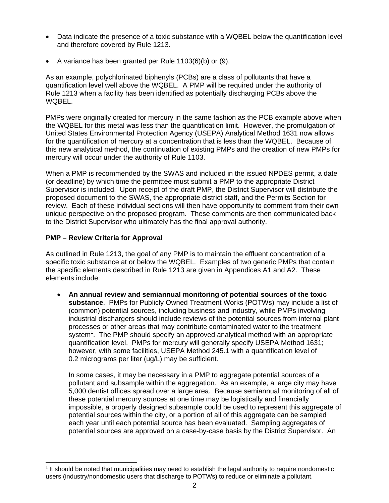- Data indicate the presence of a toxic substance with a WQBEL below the quantification level and therefore covered by Rule 1213.
- A variance has been granted per Rule 1103(6)(b) or (9).

As an example, polychlorinated biphenyls (PCBs) are a class of pollutants that have a quantification level well above the WQBEL. A PMP will be required under the authority of Rule 1213 when a facility has been identified as potentially discharging PCBs above the WQBEL.

PMPs were originally created for mercury in the same fashion as the PCB example above when the WQBEL for this metal was less than the quantification limit. However, the promulgation of United States Environmental Protection Agency (USEPA) Analytical Method 1631 now allows for the quantification of mercury at a concentration that is less than the WQBEL. Because of this new analytical method, the continuation of existing PMPs and the creation of new PMPs for mercury will occur under the authority of Rule 1103.

When a PMP is recommended by the SWAS and included in the issued NPDES permit, a date (or deadline) by which time the permittee must submit a PMP to the appropriate District Supervisor is included. Upon receipt of the draft PMP, the District Supervisor will distribute the proposed document to the SWAS, the appropriate district staff, and the Permits Section for review. Each of these individual sections will then have opportunity to comment from their own unique perspective on the proposed program. These comments are then communicated back to the District Supervisor who ultimately has the final approval authority.

# **PMP – Review Criteria for Approval**

As outlined in Rule 1213, the goal of any PMP is to maintain the effluent concentration of a specific toxic substance at or below the WQBEL. Examples of two generic PMPs that contain the specific elements described in Rule 1213 are given in Appendices A1 and A2. These elements include:

• **An annual review and semiannual monitoring of potential sources of the toxic substance**. PMPs for Publicly Owned Treatment Works (POTWs) may include a list of (common) potential sources, including business and industry, while PMPs involving industrial dischargers should include reviews of the potential sources from internal plant processes or other areas that may contribute contaminated water to the treatment system<sup>1</sup>. The PMP should specify an approved analytical method with an appropriate quantification level. PMPs for mercury will generally specify USEPA Method 1631; however, with some facilities, USEPA Method 245.1 with a quantification level of 0.2 micrograms per liter (ug/L) may be sufficient.

In some cases, it may be necessary in a PMP to aggregate potential sources of a pollutant and subsample within the aggregation. As an example, a large city may have 5,000 dentist offices spread over a large area. Because semiannual monitoring of all of these potential mercury sources at one time may be logistically and financially impossible, a properly designed subsample could be used to represent this aggregate of potential sources within the city, or a portion of all of this aggregate can be sampled each year until each potential source has been evaluated. Sampling aggregates of potential sources are approved on a case-by-case basis by the District Supervisor. An

 $<sup>1</sup>$  It should be noted that municipalities may need to establish the legal authority to require nondomestic</sup> users (industry/nondomestic users that discharge to POTWs) to reduce or eliminate a pollutant.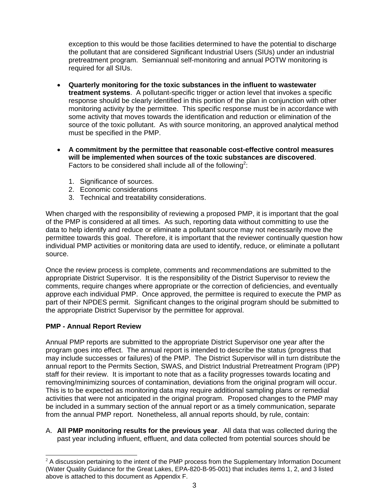exception to this would be those facilities determined to have the potential to discharge the pollutant that are considered Significant Industrial Users (SIUs) under an industrial pretreatment program. Semiannual self-monitoring and annual POTW monitoring is required for all SIUs.

- **Quarterly monitoring for the toxic substances in the influent to wastewater treatment systems**. A pollutant-specific trigger or action level that invokes a specific response should be clearly identified in this portion of the plan in conjunction with other monitoring activity by the permittee. This specific response must be in accordance with some activity that moves towards the identification and reduction or elimination of the source of the toxic pollutant. As with source monitoring, an approved analytical method must be specified in the PMP.
- **A commitment by the permittee that reasonable cost-effective control measures will be implemented when sources of the toxic substances are discovered**. Factors to be considered shall include all of the following<sup>2</sup>:
	- 1. Significance of sources.
	- 2. Economic considerations
	- 3. Technical and treatability considerations.

When charged with the responsibility of reviewing a proposed PMP, it is important that the goal of the PMP is considered at all times. As such, reporting data without committing to use the data to help identify and reduce or eliminate a pollutant source may not necessarily move the permittee towards this goal. Therefore, it is important that the reviewer continually question how individual PMP activities or monitoring data are used to identify, reduce, or eliminate a pollutant source.

Once the review process is complete, comments and recommendations are submitted to the appropriate District Supervisor. It is the responsibility of the District Supervisor to review the comments, require changes where appropriate or the correction of deficiencies, and eventually approve each individual PMP. Once approved, the permittee is required to execute the PMP as part of their NPDES permit. Significant changes to the original program should be submitted to the appropriate District Supervisor by the permittee for approval.

# **PMP - Annual Report Review**

Annual PMP reports are submitted to the appropriate District Supervisor one year after the program goes into effect. The annual report is intended to describe the status (progress that may include successes or failures) of the PMP. The District Supervisor will in turn distribute the annual report to the Permits Section, SWAS, and District Industrial Pretreatment Program (IPP) staff for their review. It is important to note that as a facility progresses towards locating and removing/minimizing sources of contamination, deviations from the original program will occur. This is to be expected as monitoring data may require additional sampling plans or remedial activities that were not anticipated in the original program. Proposed changes to the PMP may be included in a summary section of the annual report or as a timely communication, separate from the annual PMP report. Nonetheless, all annual reports should, by rule, contain:

A. **All PMP monitoring results for the previous year**. All data that was collected during the past year including influent, effluent, and data collected from potential sources should be

 $2$  A discussion pertaining to the intent of the PMP process from the Supplementary Information Document (Water Quality Guidance for the Great Lakes, EPA-820-B-95-001) that includes items 1, 2, and 3 listed above is attached to this document as Appendix F.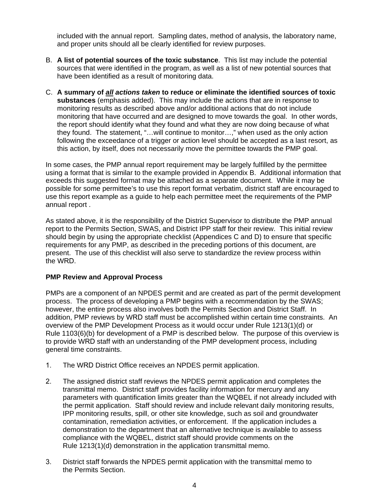included with the annual report. Sampling dates, method of analysis, the laboratory name, and proper units should all be clearly identified for review purposes.

- B. **A list of potential sources of the toxic substance**. This list may include the potential sources that were identified in the program, as well as a list of new potential sources that have been identified as a result of monitoring data.
- C. **A summary of** *all actions taken* **to reduce or eliminate the identified sources of toxic substances** (emphasis added). This may include the actions that are in response to monitoring results as described above and/or additional actions that do not include monitoring that have occurred and are designed to move towards the goal. In other words, the report should identify what they found and what they are now doing because of what they found. The statement, "…will continue to monitor…," when used as the only action following the exceedance of a trigger or action level should be accepted as a last resort, as this action, by itself, does not necessarily move the permittee towards the PMP goal.

In some cases, the PMP annual report requirement may be largely fulfilled by the permittee using a format that is similar to the example provided in Appendix B. Additional information that exceeds this suggested format may be attached as a separate document. While it may be possible for some permittee's to use this report format verbatim, district staff are encouraged to use this report example as a guide to help each permittee meet the requirements of the PMP annual report .

As stated above, it is the responsibility of the District Supervisor to distribute the PMP annual report to the Permits Section, SWAS, and District IPP staff for their review. This initial review should begin by using the appropriate checklist (Appendices C and D) to ensure that specific requirements for any PMP, as described in the preceding portions of this document, are present. The use of this checklist will also serve to standardize the review process within the WRD.

## **PMP Review and Approval Process**

PMPs are a component of an NPDES permit and are created as part of the permit development process. The process of developing a PMP begins with a recommendation by the SWAS; however, the entire process also involves both the Permits Section and District Staff. In addition, PMP reviews by WRD staff must be accomplished within certain time constraints. An overview of the PMP Development Process as it would occur under Rule 1213(1)(d) or Rule 1103(6)(b) for development of a PMP is described below. The purpose of this overview is to provide WRD staff with an understanding of the PMP development process, including general time constraints.

- 1. The WRD District Office receives an NPDES permit application.
- 2. The assigned district staff reviews the NPDES permit application and completes the transmittal memo. District staff provides facility information for mercury and any parameters with quantification limits greater than the WQBEL if not already included with the permit application. Staff should review and include relevant daily monitoring results, IPP monitoring results, spill, or other site knowledge, such as soil and groundwater contamination, remediation activities, or enforcement. If the application includes a demonstration to the department that an alternative technique is available to assess compliance with the WQBEL, district staff should provide comments on the Rule 1213(1)(d) demonstration in the application transmittal memo.
- 3. District staff forwards the NPDES permit application with the transmittal memo to the Permits Section.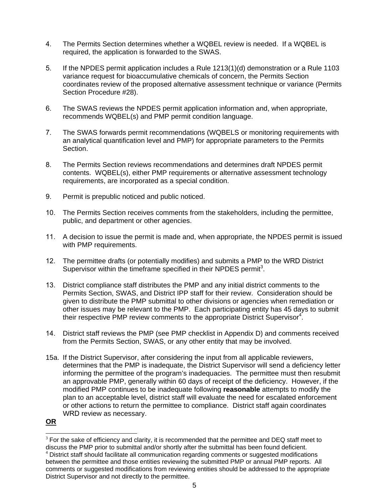- 4. The Permits Section determines whether a WQBEL review is needed. If a WQBEL is required, the application is forwarded to the SWAS.
- 5. If the NPDES permit application includes a Rule 1213(1)(d) demonstration or a Rule 1103 variance request for bioaccumulative chemicals of concern, the Permits Section coordinates review of the proposed alternative assessment technique or variance (Permits Section Procedure #28).
- 6. The SWAS reviews the NPDES permit application information and, when appropriate, recommends WQBEL(s) and PMP permit condition language.
- 7. The SWAS forwards permit recommendations (WQBELS or monitoring requirements with an analytical quantification level and PMP) for appropriate parameters to the Permits Section.
- 8. The Permits Section reviews recommendations and determines draft NPDES permit contents. WQBEL(s), either PMP requirements or alternative assessment technology requirements, are incorporated as a special condition.
- 9. Permit is prepublic noticed and public noticed.
- 10. The Permits Section receives comments from the stakeholders, including the permittee, public, and department or other agencies.
- 11. A decision to issue the permit is made and, when appropriate, the NPDES permit is issued with PMP requirements.
- 12. The permittee drafts (or potentially modifies) and submits a PMP to the WRD District Supervisor within the timeframe specified in their NPDES permit<sup>3</sup>.
- 13. District compliance staff distributes the PMP and any initial district comments to the Permits Section, SWAS, and District IPP staff for their review. Consideration should be given to distribute the PMP submittal to other divisions or agencies when remediation or other issues may be relevant to the PMP. Each participating entity has 45 days to submit their respective PMP review comments to the appropriate District Supervisor<sup>4</sup>.
- 14. District staff reviews the PMP (see PMP checklist in Appendix D) and comments received from the Permits Section, SWAS, or any other entity that may be involved.
- 15a. If the District Supervisor, after considering the input from all applicable reviewers, determines that the PMP is inadequate, the District Supervisor will send a deficiency letter informing the permittee of the program's inadequacies. The permittee must then resubmit an approvable PMP, generally within 60 days of receipt of the deficiency. However, if the modified PMP continues to be inadequate following **reasonable** attempts to modify the plan to an acceptable level, district staff will evaluate the need for escalated enforcement or other actions to return the permittee to compliance. District staff again coordinates WRD review as necessary.

**OR**

 $3$  For the sake of efficiency and clarity, it is recommended that the permittee and DEQ staff meet to discuss the PMP prior to submittal and/or shortly after the submittal has been found deficient.

 $4$  District staff should facilitate all communication regarding comments or suggested modifications between the permittee and those entities reviewing the submitted PMP or annual PMP reports. All comments or suggested modifications from reviewing entities should be addressed to the appropriate District Supervisor and not directly to the permittee.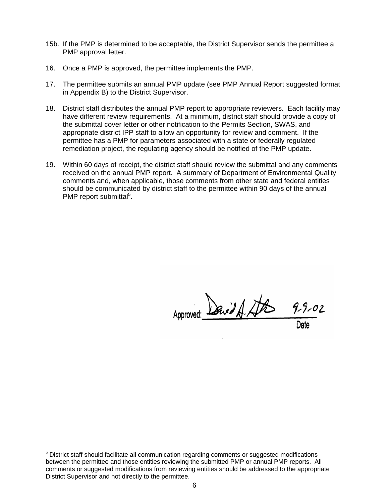- 15b. If the PMP is determined to be acceptable, the District Supervisor sends the permittee a PMP approval letter.
- 16. Once a PMP is approved, the permittee implements the PMP.
- 17. The permittee submits an annual PMP update (see PMP Annual Report suggested format in Appendix B) to the District Supervisor.
- 18. District staff distributes the annual PMP report to appropriate reviewers. Each facility may have different review requirements. At a minimum, district staff should provide a copy of the submittal cover letter or other notification to the Permits Section, SWAS, and appropriate district IPP staff to allow an opportunity for review and comment. If the permittee has a PMP for parameters associated with a state or federally regulated remediation project, the regulating agency should be notified of the PMP update.
- 19. Within 60 days of receipt, the district staff should review the submittal and any comments received on the annual PMP report. A summary of Department of Environmental Quality comments and, when applicable, those comments from other state and federal entities should be communicated by district staff to the permittee within 90 days of the annual PMP report submittal<sup>5</sup>.

Approved: Denvid A. At  $9 - 9 - 02$ 

 $\overline{\phantom{a}}$ 

 $<sup>5</sup>$  District staff should facilitate all communication regarding comments or suggested modifications</sup> between the permittee and those entities reviewing the submitted PMP or annual PMP reports. All comments or suggested modifications from reviewing entities should be addressed to the appropriate District Supervisor and not directly to the permittee.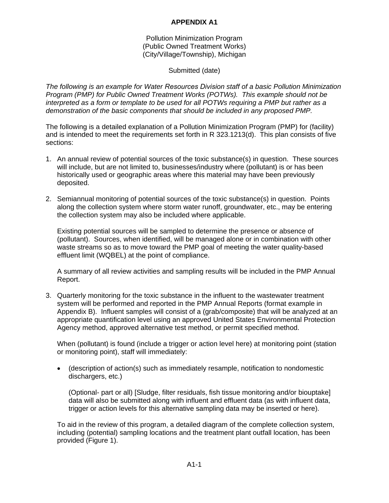## **APPENDIX A1**

Pollution Minimization Program (Public Owned Treatment Works) (City/Village/Township), Michigan

## Submitted (date)

*The following is an example for Water Resources Division staff of a basic Pollution Minimization Program (PMP) for Public Owned Treatment Works (POTWs). This example should not be interpreted as a form or template to be used for all POTWs requiring a PMP but rather as a demonstration of the basic components that should be included in any proposed PMP.* 

The following is a detailed explanation of a Pollution Minimization Program (PMP) for (facility) and is intended to meet the requirements set forth in R 323.1213(d). This plan consists of five sections:

- 1. An annual review of potential sources of the toxic substance(s) in question. These sources will include, but are not limited to, businesses/industry where (pollutant) is or has been historically used or geographic areas where this material may have been previously deposited.
- 2. Semiannual monitoring of potential sources of the toxic substance(s) in question. Points along the collection system where storm water runoff, groundwater, etc., may be entering the collection system may also be included where applicable.

Existing potential sources will be sampled to determine the presence or absence of (pollutant). Sources, when identified, will be managed alone or in combination with other waste streams so as to move toward the PMP goal of meeting the water quality-based effluent limit (WQBEL) at the point of compliance.

A summary of all review activities and sampling results will be included in the PMP Annual Report.

3. Quarterly monitoring for the toxic substance in the influent to the wastewater treatment system will be performed and reported in the PMP Annual Reports (format example in Appendix B). Influent samples will consist of a (grab/composite) that will be analyzed at an appropriate quantification level using an approved United States Environmental Protection Agency method, approved alternative test method, or permit specified method.

When (pollutant) is found (include a trigger or action level here) at monitoring point (station or monitoring point), staff will immediately:

• (description of action(s) such as immediately resample, notification to nondomestic dischargers, etc.)

(Optional- part or all) [Sludge, filter residuals, fish tissue monitoring and/or biouptake] data will also be submitted along with influent and effluent data (as with influent data, trigger or action levels for this alternative sampling data may be inserted or here).

To aid in the review of this program, a detailed diagram of the complete collection system, including (potential) sampling locations and the treatment plant outfall location, has been provided (Figure 1).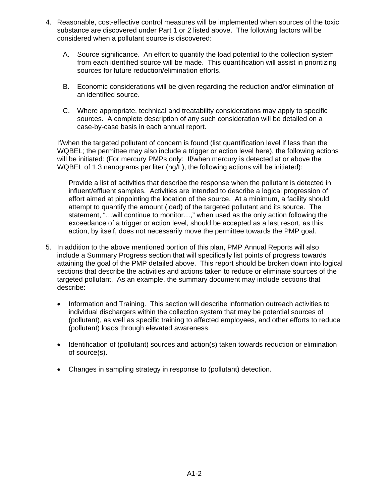- 4. Reasonable, cost-effective control measures will be implemented when sources of the toxic substance are discovered under Part 1 or 2 listed above. The following factors will be considered when a pollutant source is discovered:
	- A. Source significance. An effort to quantify the load potential to the collection system from each identified source will be made. This quantification will assist in prioritizing sources for future reduction/elimination efforts.
	- B. Economic considerations will be given regarding the reduction and/or elimination of an identified source.
	- C. Where appropriate, technical and treatability considerations may apply to specific sources. A complete description of any such consideration will be detailed on a case-by-case basis in each annual report.

If/when the targeted pollutant of concern is found (list quantification level if less than the WQBEL; the permittee may also include a trigger or action level here), the following actions will be initiated: (For mercury PMPs only: If/when mercury is detected at or above the WQBEL of 1.3 nanograms per liter (ng/L), the following actions will be initiated):

Provide a list of activities that describe the response when the pollutant is detected in influent/effluent samples. Activities are intended to describe a logical progression of effort aimed at pinpointing the location of the source. At a minimum, a facility should attempt to quantify the amount (load) of the targeted pollutant and its source. The statement, "…will continue to monitor…," when used as the only action following the exceedance of a trigger or action level, should be accepted as a last resort, as this action, by itself, does not necessarily move the permittee towards the PMP goal.

- 5. In addition to the above mentioned portion of this plan, PMP Annual Reports will also include a Summary Progress section that will specifically list points of progress towards attaining the goal of the PMP detailed above. This report should be broken down into logical sections that describe the activities and actions taken to reduce or eliminate sources of the targeted pollutant. As an example, the summary document may include sections that describe:
	- Information and Training. This section will describe information outreach activities to individual dischargers within the collection system that may be potential sources of (pollutant), as well as specific training to affected employees, and other efforts to reduce (pollutant) loads through elevated awareness.
	- Identification of (pollutant) sources and action(s) taken towards reduction or elimination of source(s).
	- Changes in sampling strategy in response to (pollutant) detection.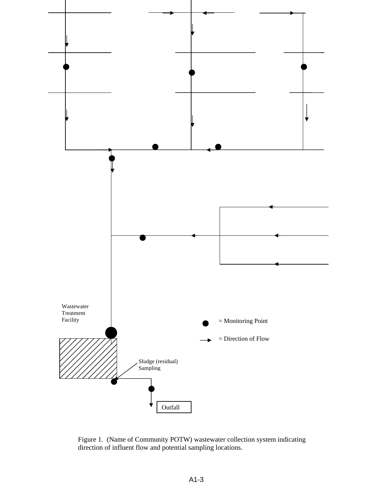

Figure 1. (Name of Community POTW) wastewater collection system indicating direction of influent flow and potential sampling locations.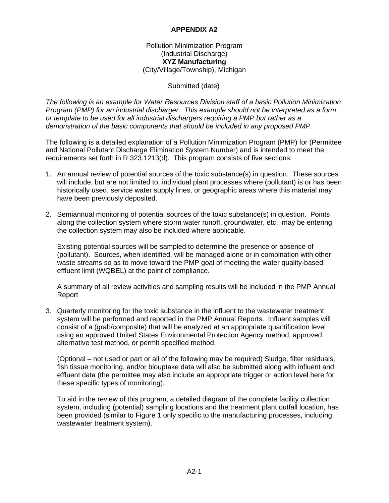# **APPENDIX A2**

### Pollution Minimization Program (Industrial Discharge) **XYZ Manufacturing**  (City/Village/Township), Michigan

### Submitted (date)

*The following is an example for Water Resources Division staff of a basic Pollution Minimization Program (PMP) for an industrial discharger. This example should not be interpreted as a form or template to be used for all industrial dischargers requiring a PMP but rather as a demonstration of the basic components that should be included in any proposed PMP.* 

The following is a detailed explanation of a Pollution Minimization Program (PMP) for (Permittee and National Pollutant Discharge Elimination System Number) and is intended to meet the requirements set forth in R 323.1213(d). This program consists of five sections:

- 1. An annual review of potential sources of the toxic substance(s) in question. These sources will include, but are not limited to, individual plant processes where (pollutant) is or has been historically used, service water supply lines, or geographic areas where this material may have been previously deposited.
- 2. Semiannual monitoring of potential sources of the toxic substance(s) in question. Points along the collection system where storm water runoff, groundwater, etc., may be entering the collection system may also be included where applicable.

Existing potential sources will be sampled to determine the presence or absence of (pollutant). Sources, when identified, will be managed alone or in combination with other waste streams so as to move toward the PMP goal of meeting the water quality-based effluent limit (WQBEL) at the point of compliance.

A summary of all review activities and sampling results will be included in the PMP Annual Report

3. Quarterly monitoring for the toxic substance in the influent to the wastewater treatment system will be performed and reported in the PMP Annual Reports. Influent samples will consist of a (grab/composite) that will be analyzed at an appropriate quantification level using an approved United States Environmental Protection Agency method, approved alternative test method, or permit specified method.

(Optional – not used or part or all of the following may be required) Sludge, filter residuals, fish tissue monitoring, and/or biouptake data will also be submitted along with influent and effluent data (the permittee may also include an appropriate trigger or action level here for these specific types of monitoring).

To aid in the review of this program, a detailed diagram of the complete facility collection system, including (potential) sampling locations and the treatment plant outfall location, has been provided (similar to Figure 1 only specific to the manufacturing processes, including wastewater treatment system).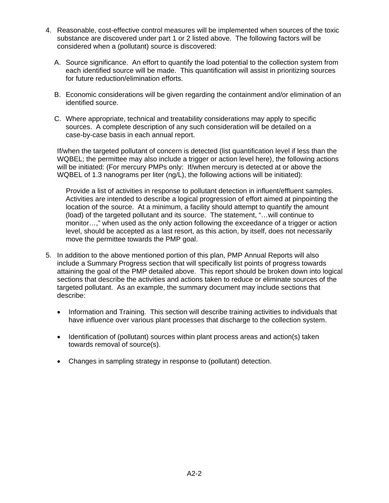- 4. Reasonable, cost-effective control measures will be implemented when sources of the toxic substance are discovered under part 1 or 2 listed above. The following factors will be considered when a (pollutant) source is discovered:
	- A. Source significance. An effort to quantify the load potential to the collection system from each identified source will be made. This quantification will assist in prioritizing sources for future reduction/elimination efforts.
	- B. Economic considerations will be given regarding the containment and/or elimination of an identified source.
	- C. Where appropriate, technical and treatability considerations may apply to specific sources. A complete description of any such consideration will be detailed on a case-by-case basis in each annual report.

If/when the targeted pollutant of concern is detected (list quantification level if less than the WQBEL; the permittee may also include a trigger or action level here), the following actions will be initiated: (For mercury PMPs only: If/when mercury is detected at or above the WQBEL of 1.3 nanograms per liter (ng/L), the following actions will be initiated):

 Provide a list of activities in response to pollutant detection in influent/effluent samples. Activities are intended to describe a logical progression of effort aimed at pinpointing the location of the source. At a minimum, a facility should attempt to quantify the amount (load) of the targeted pollutant and its source. The statement, "…will continue to monitor…," when used as the only action following the exceedance of a trigger or action level, should be accepted as a last resort, as this action, by itself, does not necessarily move the permittee towards the PMP goal.

- 5. In addition to the above mentioned portion of this plan, PMP Annual Reports will also include a Summary Progress section that will specifically list points of progress towards attaining the goal of the PMP detailed above. This report should be broken down into logical sections that describe the activities and actions taken to reduce or eliminate sources of the targeted pollutant. As an example, the summary document may include sections that describe:
	- Information and Training. This section will describe training activities to individuals that have influence over various plant processes that discharge to the collection system.
	- Identification of (pollutant) sources within plant process areas and action(s) taken towards removal of source(s).
	- Changes in sampling strategy in response to (pollutant) detection.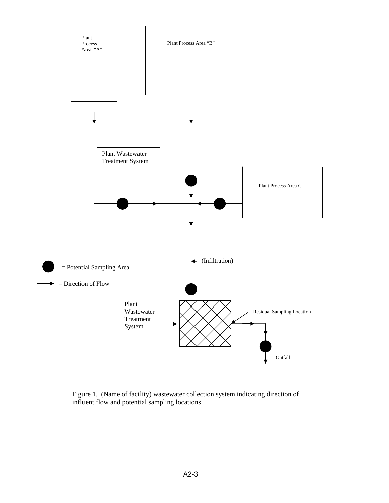

Figure 1. (Name of facility) wastewater collection system indicating direction of influent flow and potential sampling locations.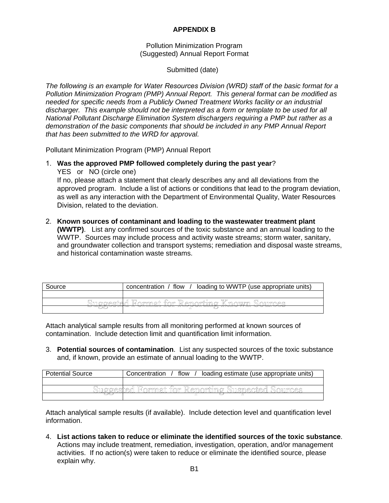# **APPENDIX B**

Pollution Minimization Program (Suggested) Annual Report Format

Submitted (date)

*The following is an example for Water Resources Division (WRD) staff of the basic format for a Pollution Minimization Program (PMP) Annual Report. This general format can be modified as needed for specific needs from a Publicly Owned Treatment Works facility or an industrial discharger. This example should not be interpreted as a form or template to be used for all National Pollutant Discharge Elimination System dischargers requiring a PMP but rather as a demonstration of the basic components that should be included in any PMP Annual Report that has been submitted to the WRD for approval.* 

Pollutant Minimization Program (PMP) Annual Report

1. **Was the approved PMP followed completely during the past year**?

YES or NO (circle one)

If no, please attach a statement that clearly describes any and all deviations from the approved program. Include a list of actions or conditions that lead to the program deviation, as well as any interaction with the Department of Environmental Quality, Water Resources Division, related to the deviation.

2. **Known sources of contaminant and loading to the wastewater treatment plant (WWTP)**. List any confirmed sources of the toxic substance and an annual loading to the WWTP. Sources may include process and activity waste streams; storm water, sanitary, and groundwater collection and transport systems; remediation and disposal waste streams, and historical contamination waste streams.

| Source                                           | loading to WWTP (use appropriate units)<br>flow<br>concentration / |  |
|--------------------------------------------------|--------------------------------------------------------------------|--|
|                                                  |                                                                    |  |
| Format for Reporting Known Sources<br>Surooested |                                                                    |  |
|                                                  | <del>1800 or anni</del>                                            |  |

Attach analytical sample results from all monitoring performed at known sources of contamination. Include detection limit and quantification limit information.

3. **Potential sources of contamination**. List any suspected sources of the toxic substance and, if known, provide an estimate of annual loading to the WWTP.

| <b>Potential Source</b> | loading estimate (use appropriate units)<br>flow<br>Concentration |
|-------------------------|-------------------------------------------------------------------|
|                         |                                                                   |
| \]]MOMPRIMA             | Format for Reporting Suspected Sou<br>™∩≏α                        |
|                         |                                                                   |

Attach analytical sample results (if available). Include detection level and quantification level information.

4. **List actions taken to reduce or eliminate the identified sources of the toxic substance**. Actions may include treatment, remediation, investigation, operation, and/or management activities. If no action(s) were taken to reduce or eliminate the identified source, please explain why.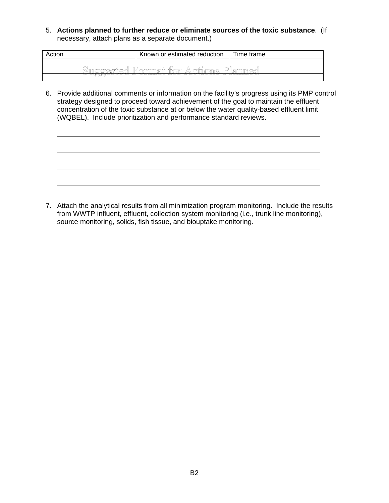5. **Actions planned to further reduce or eliminate sources of the toxic substance**. (If necessary, attach plans as a separate document.)

| Action           | Known or estimated reduction               | Time frame           |
|------------------|--------------------------------------------|----------------------|
|                  |                                            |                      |
| הדר<br>MIQQASIA¶ | ⋀<br>†'∩ിി≏<br>ി∦ ∕രാന്ന മി†<br>∕∩าำา∕∩าก∂ | Dlammed              |
| --<br>ᆓᆓᆇ        | <del>A AU VAU ZAU</del><br>-----<br>2      | <b>ROOTERS OF GO</b> |

L

 $\overline{a}$ 

6. Provide additional comments or information on the facility's progress using its PMP control strategy designed to proceed toward achievement of the goal to maintain the effluent concentration of the toxic substance at or below the water quality-based effluent limit (WQBEL). Include prioritization and performance standard reviews.

7. Attach the analytical results from all minimization program monitoring. Include the results from WWTP influent, effluent, collection system monitoring (i.e., trunk line monitoring), source monitoring, solids, fish tissue, and biouptake monitoring.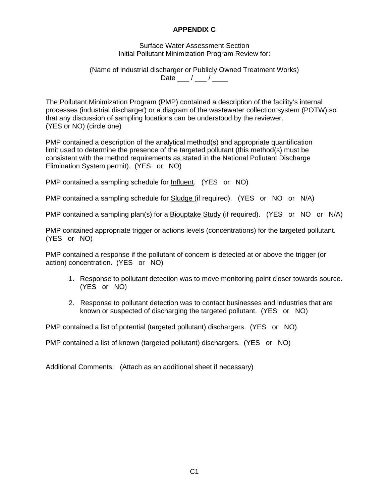# **APPENDIX C**

Surface Water Assessment Section Initial Pollutant Minimization Program Review for:

(Name of industrial discharger or Publicly Owned Treatment Works) Date  $\frac{1}{2}$  /  $\frac{1}{2}$ 

The Pollutant Minimization Program (PMP) contained a description of the facility's internal processes (industrial discharger) or a diagram of the wastewater collection system (POTW) so that any discussion of sampling locations can be understood by the reviewer. (YES or NO) (circle one)

PMP contained a description of the analytical method(s) and appropriate quantification limit used to determine the presence of the targeted pollutant (this method(s) must be consistent with the method requirements as stated in the National Pollutant Discharge Elimination System permit). (YES or NO)

PMP contained a sampling schedule for Influent. (YES or NO)

PMP contained a sampling schedule for **Sludge** (if required). (YES or NO or N/A)

PMP contained a sampling plan(s) for a Biouptake Study (if required). (YES or NO or N/A)

PMP contained appropriate trigger or actions levels (concentrations) for the targeted pollutant. (YES or NO)

PMP contained a response if the pollutant of concern is detected at or above the trigger (or action) concentration. (YES or NO)

- 1. Response to pollutant detection was to move monitoring point closer towards source. (YES or NO)
- 2. Response to pollutant detection was to contact businesses and industries that are known or suspected of discharging the targeted pollutant. (YES or NO)

PMP contained a list of potential (targeted pollutant) dischargers. (YES or NO)

PMP contained a list of known (targeted pollutant) dischargers. (YES or NO)

Additional Comments: (Attach as an additional sheet if necessary)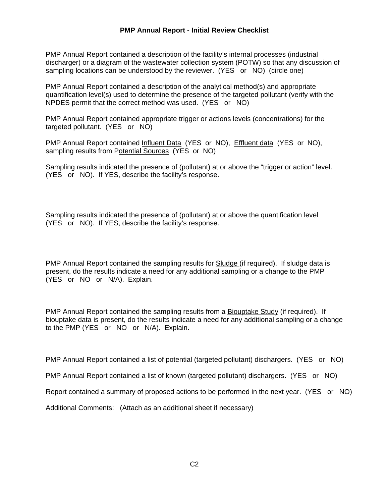### **PMP Annual Report - Initial Review Checklist**

PMP Annual Report contained a description of the facility's internal processes (industrial discharger) or a diagram of the wastewater collection system (POTW) so that any discussion of sampling locations can be understood by the reviewer. (YES or NO) (circle one)

PMP Annual Report contained a description of the analytical method(s) and appropriate quantification level(s) used to determine the presence of the targeted pollutant (verify with the NPDES permit that the correct method was used. (YES or NO)

PMP Annual Report contained appropriate trigger or actions levels (concentrations) for the targeted pollutant. (YES or NO)

PMP Annual Report contained Influent Data (YES or NO), Effluent data (YES or NO), sampling results from Potential Sources (YES or NO)

Sampling results indicated the presence of (pollutant) at or above the "trigger or action" level. (YES or NO). If YES, describe the facility's response.

Sampling results indicated the presence of (pollutant) at or above the quantification level (YES or NO). If YES, describe the facility's response.

PMP Annual Report contained the sampling results for Sludge (if required). If sludge data is present, do the results indicate a need for any additional sampling or a change to the PMP (YES or NO or N/A). Explain.

PMP Annual Report contained the sampling results from a Biouptake Study (if required). If biouptake data is present, do the results indicate a need for any additional sampling or a change to the PMP (YES or NO or N/A). Explain.

PMP Annual Report contained a list of potential (targeted pollutant) dischargers. (YES or NO)

PMP Annual Report contained a list of known (targeted pollutant) dischargers. (YES or NO)

Report contained a summary of proposed actions to be performed in the next year. (YES or NO)

Additional Comments: (Attach as an additional sheet if necessary)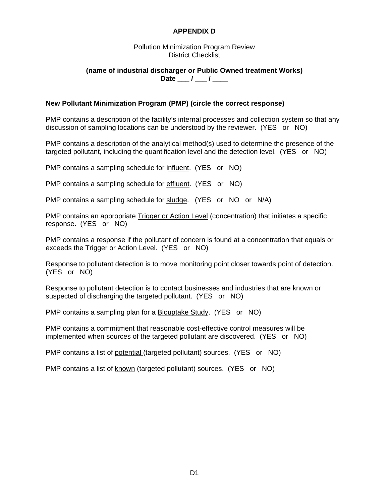# **APPENDIX D**

#### Pollution Minimization Program Review District Checklist

## **(name of industrial discharger or Public Owned treatment Works)**  Date \_\_\_ / \_\_\_ / \_\_\_

## **New Pollutant Minimization Program (PMP) (circle the correct response)**

PMP contains a description of the facility's internal processes and collection system so that any discussion of sampling locations can be understood by the reviewer. (YES or NO)

PMP contains a description of the analytical method(s) used to determine the presence of the targeted pollutant, including the quantification level and the detection level. (YES or NO)

PMP contains a sampling schedule for influent. (YES or NO)

PMP contains a sampling schedule for effluent. (YES or NO)

PMP contains a sampling schedule for sludge. (YES or NO or N/A)

PMP contains an appropriate Trigger or Action Level (concentration) that initiates a specific response. (YES or NO)

PMP contains a response if the pollutant of concern is found at a concentration that equals or exceeds the Trigger or Action Level. (YES or NO)

Response to pollutant detection is to move monitoring point closer towards point of detection. (YES or NO)

Response to pollutant detection is to contact businesses and industries that are known or suspected of discharging the targeted pollutant. (YES or NO)

PMP contains a sampling plan for a Biouptake Study. (YES or NO)

PMP contains a commitment that reasonable cost-effective control measures will be implemented when sources of the targeted pollutant are discovered. (YES or NO)

PMP contains a list of potential (targeted pollutant) sources. (YES or NO)

PMP contains a list of known (targeted pollutant) sources. (YES or NO)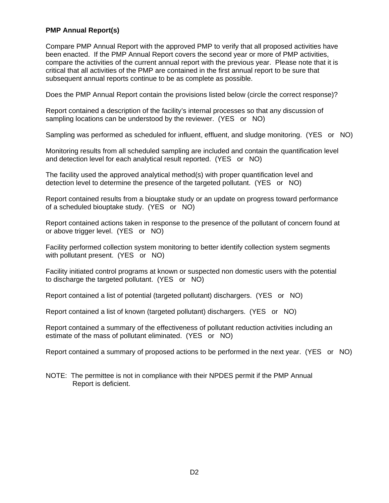## **PMP Annual Report(s)**

Compare PMP Annual Report with the approved PMP to verify that all proposed activities have been enacted. If the PMP Annual Report covers the second year or more of PMP activities, compare the activities of the current annual report with the previous year. Please note that it is critical that all activities of the PMP are contained in the first annual report to be sure that subsequent annual reports continue to be as complete as possible.

Does the PMP Annual Report contain the provisions listed below (circle the correct response)?

Report contained a description of the facility's internal processes so that any discussion of sampling locations can be understood by the reviewer. (YES or NO)

Sampling was performed as scheduled for influent, effluent, and sludge monitoring. (YES or NO)

Monitoring results from all scheduled sampling are included and contain the quantification level and detection level for each analytical result reported. (YES or NO)

The facility used the approved analytical method(s) with proper quantification level and detection level to determine the presence of the targeted pollutant. (YES or NO)

Report contained results from a biouptake study or an update on progress toward performance of a scheduled biouptake study. (YES or NO)

Report contained actions taken in response to the presence of the pollutant of concern found at or above trigger level. (YES or NO)

Facility performed collection system monitoring to better identify collection system segments with pollutant present. (YES or NO)

Facility initiated control programs at known or suspected non domestic users with the potential to discharge the targeted pollutant. (YES or NO)

Report contained a list of potential (targeted pollutant) dischargers. (YES or NO)

Report contained a list of known (targeted pollutant) dischargers. (YES or NO)

Report contained a summary of the effectiveness of pollutant reduction activities including an estimate of the mass of pollutant eliminated. (YES or NO)

Report contained a summary of proposed actions to be performed in the next year. (YES or NO)

NOTE: The permittee is not in compliance with their NPDES permit if the PMP Annual Report is deficient.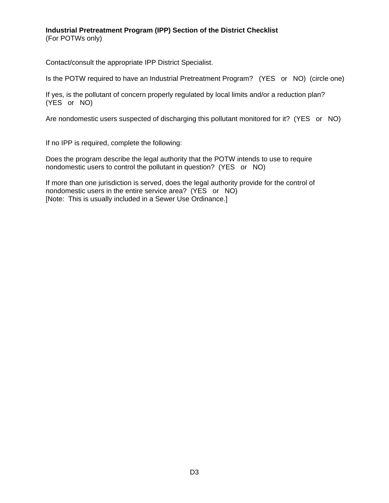# **Industrial Pretreatment Program (IPP) Section of the District Checklist**

(For POTWs only)

Contact/consult the appropriate IPP District Specialist.

Is the POTW required to have an Industrial Pretreatment Program? (YES or NO) (circle one)

If yes, is the pollutant of concern properly regulated by local limits and/or a reduction plan? (YES or NO)

Are nondomestic users suspected of discharging this pollutant monitored for it? (YES or NO)

If no IPP is required, complete the following:

Does the program describe the legal authority that the POTW intends to use to require nondomestic users to control the pollutant in question? (YES or NO)

If more than one jurisdiction is served, does the legal authority provide for the control of nondomestic users in the entire service area? (YES or NO) [Note: This is usually included in a Sewer Use Ordinance.]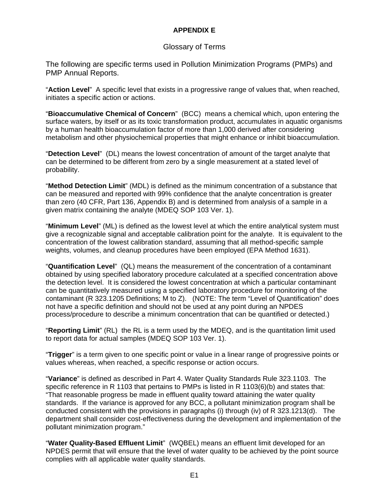# **APPENDIX E**

# Glossary of Terms

The following are specific terms used in Pollution Minimization Programs (PMPs) and PMP Annual Reports.

"**Action Level**" A specific level that exists in a progressive range of values that, when reached, initiates a specific action or actions.

"**Bioaccumulative Chemical of Concern**" (BCC) means a chemical which, upon entering the surface waters, by itself or as its toxic transformation product, accumulates in aquatic organisms by a human health bioaccumulation factor of more than 1,000 derived after considering metabolism and other physiochemical properties that might enhance or inhibit bioaccumulation.

"**Detection Level**" (DL) means the lowest concentration of amount of the target analyte that can be determined to be different from zero by a single measurement at a stated level of probability.

"**Method Detection Limit**" (MDL) is defined as the minimum concentration of a substance that can be measured and reported with 99% confidence that the analyte concentration is greater than zero (40 CFR, Part 136, Appendix B) and is determined from analysis of a sample in a given matrix containing the analyte (MDEQ SOP 103 Ver. 1).

"**Minimum Level**" (ML) is defined as the lowest level at which the entire analytical system must give a recognizable signal and acceptable calibration point for the analyte. It is equivalent to the concentration of the lowest calibration standard, assuming that all method-specific sample weights, volumes, and cleanup procedures have been employed (EPA Method 1631).

"**Quantification Level**" (QL) means the measurement of the concentration of a contaminant obtained by using specified laboratory procedure calculated at a specified concentration above the detection level. It is considered the lowest concentration at which a particular contaminant can be quantitatively measured using a specified laboratory procedure for monitoring of the contaminant (R 323.1205 Definitions; M to Z). (NOTE: The term "Level of Quantification" does not have a specific definition and should not be used at any point during an NPDES process/procedure to describe a minimum concentration that can be quantified or detected.)

"**Reporting Limit**" (RL) the RL is a term used by the MDEQ, and is the quantitation limit used to report data for actual samples (MDEQ SOP 103 Ver. 1).

"**Trigger**" is a term given to one specific point or value in a linear range of progressive points or values whereas, when reached, a specific response or action occurs.

"**Variance**" is defined as described in Part 4. Water Quality Standards Rule 323.1103. The specific reference in R 1103 that pertains to PMPs is listed in R 1103(6)(b) and states that: "That reasonable progress be made in effluent quality toward attaining the water quality standards. If the variance is approved for any BCC, a pollutant minimization program shall be conducted consistent with the provisions in paragraphs (i) through (iv) of R 323.1213(d). The department shall consider cost-effectiveness during the development and implementation of the pollutant minimization program."

"**Water Quality-Based Effluent Limit**" (WQBEL) means an effluent limit developed for an NPDES permit that will ensure that the level of water quality to be achieved by the point source complies with all applicable water quality standards.